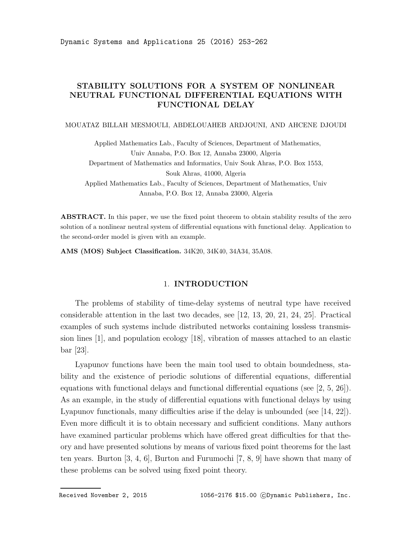# STABILITY SOLUTIONS FOR A SYSTEM OF NONLINEAR NEUTRAL FUNCTIONAL DIFFERENTIAL EQUATIONS WITH FUNCTIONAL DELAY

#### MOUATAZ BILLAH MESMOULI, ABDELOUAHEB ARDJOUNI, AND AHCENE DJOUDI

Applied Mathematics Lab., Faculty of Sciences, Department of Mathematics, Univ Annaba, P.O. Box 12, Annaba 23000, Algeria Department of Mathematics and Informatics, Univ Souk Ahras, P.O. Box 1553, Souk Ahras, 41000, Algeria Applied Mathematics Lab., Faculty of Sciences, Department of Mathematics, Univ Annaba, P.O. Box 12, Annaba 23000, Algeria

ABSTRACT. In this paper, we use the fixed point theorem to obtain stability results of the zero solution of a nonlinear neutral system of differential equations with functional delay. Application to the second-order model is given with an example.

AMS (MOS) Subject Classification. 34K20, 34K40, 34A34, 35A08.

#### 1. INTRODUCTION

The problems of stability of time-delay systems of neutral type have received considerable attention in the last two decades, see [12, 13, 20, 21, 24, 25]. Practical examples of such systems include distributed networks containing lossless transmission lines [1], and population ecology [18], vibration of masses attached to an elastic bar [23].

Lyapunov functions have been the main tool used to obtain boundedness, stability and the existence of periodic solutions of differential equations, differential equations with functional delays and functional differential equations (see [2, 5, 26]). As an example, in the study of differential equations with functional delays by using Lyapunov functionals, many difficulties arise if the delay is unbounded (see [14, 22]). Even more difficult it is to obtain necessary and sufficient conditions. Many authors have examined particular problems which have offered great difficulties for that theory and have presented solutions by means of various fixed point theorems for the last ten years. Burton [3, 4, 6], Burton and Furumochi [7, 8, 9] have shown that many of these problems can be solved using fixed point theory.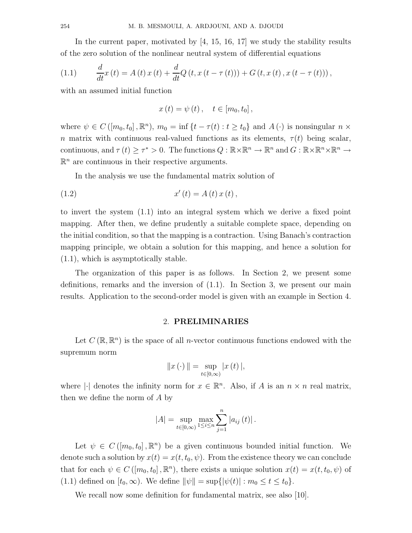In the current paper, motivated by [4, 15, 16, 17] we study the stability results of the zero solution of the nonlinear neutral system of differential equations

(1.1) 
$$
\frac{d}{dt}x(t) = A(t)x(t) + \frac{d}{dt}Q(t, x(t - \tau(t))) + G(t, x(t), x(t - \tau(t))),
$$

with an assumed initial function

$$
x(t) = \psi(t), \quad t \in [m_0, t_0],
$$

where  $\psi \in C([m_0, t_0], \mathbb{R}^n)$ ,  $m_0 = \inf \{t - \tau(t) : t \ge t_0\}$  and  $A(\cdot)$  is nonsingular  $n \times$ n matrix with continuous real-valued functions as its elements,  $\tau(t)$  being scalar, continuous, and  $\tau(t) \geq \tau^* > 0$ . The functions  $Q : \mathbb{R} \times \mathbb{R}^n \to \mathbb{R}^n$  and  $G : \mathbb{R} \times \mathbb{R}^n \times \mathbb{R}^n \to$  $\mathbb{R}^n$  are continuous in their respective arguments.

In the analysis we use the fundamental matrix solution of

(1.2) 
$$
x'(t) = A(t) x(t),
$$

to invert the system (1.1) into an integral system which we derive a fixed point mapping. After then, we define prudently a suitable complete space, depending on the initial condition, so that the mapping is a contraction. Using Banach's contraction mapping principle, we obtain a solution for this mapping, and hence a solution for (1.1), which is asymptotically stable.

The organization of this paper is as follows. In Section 2, we present some definitions, remarks and the inversion of (1.1). In Section 3, we present our main results. Application to the second-order model is given with an example in Section 4.

## 2. PRELIMINARIES

Let  $C(\mathbb{R}, \mathbb{R}^n)$  is the space of all *n*-vector continuous functions endowed with the supremum norm

$$
||x(\cdot)|| = \sup_{t \in [0,\infty)} |x(t)|,
$$

where | denotes the infinity norm for  $x \in \mathbb{R}^n$ . Also, if A is an  $n \times n$  real matrix, then we define the norm of A by

$$
|A| = \sup_{t \in [0,\infty)} \max_{1 \le i \le n} \sum_{j=1}^{n} |a_{ij}(t)|.
$$

Let  $\psi \in C([m_0, t_0], \mathbb{R}^n)$  be a given continuous bounded initial function. We denote such a solution by  $x(t) = x(t, t_0, \psi)$ . From the existence theory we can conclude that for each  $\psi \in C([m_0, t_0], \mathbb{R}^n)$ , there exists a unique solution  $x(t) = x(t, t_0, \psi)$  of (1.1) defined on  $[t_0, \infty)$ . We define  $\|\psi\| = \sup\{|\psi(t)| : m_0 \le t \le t_0\}.$ 

We recall now some definition for fundamental matrix, see also [10].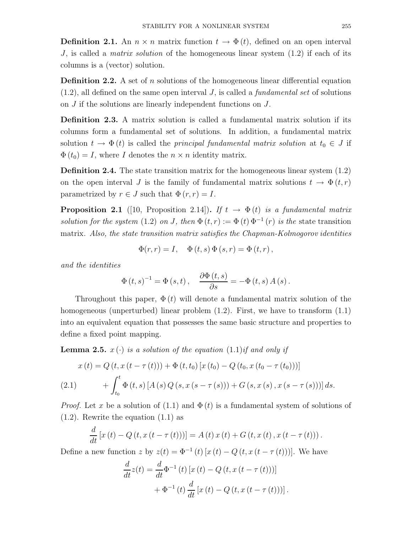**Definition 2.1.** An  $n \times n$  matrix function  $t \to \Phi(t)$ , defined on an open interval J, is called a matrix solution of the homogeneous linear system (1.2) if each of its columns is a (vector) solution.

**Definition 2.2.** A set of n solutions of the homogeneous linear differential equation  $(1.2)$ , all defined on the same open interval J, is called a *fundamental set* of solutions on J if the solutions are linearly independent functions on J.

Definition 2.3. A matrix solution is called a fundamental matrix solution if its columns form a fundamental set of solutions. In addition, a fundamental matrix solution  $t \to \Phi(t)$  is called the *principal fundamental matrix solution* at  $t_0 \in J$  if  $\Phi(t_0) = I$ , where I denotes the  $n \times n$  identity matrix.

**Definition 2.4.** The state transition matrix for the homogeneous linear system  $(1.2)$ on the open interval J is the family of fundamental matrix solutions  $t \to \Phi(t,r)$ parametrized by  $r \in J$  such that  $\Phi(r, r) = I$ .

**Proposition 2.1** ([10, Proposition 2.14]). If  $t \to \Phi(t)$  is a fundamental matrix solution for the system (1.2) on J, then  $\Phi(t,r) := \Phi(t) \Phi^{-1}(r)$  is the state transition matrix. Also, the state transition matrix satisfies the Chapman-Kolmogorov identities

$$
\Phi(r,r) = I, \quad \Phi(t,s) \Phi(s,r) = \Phi(t,r),
$$

and the identities

$$
\Phi(t,s)^{-1} = \Phi(s,t), \quad \frac{\partial \Phi(t,s)}{\partial s} = -\Phi(t,s) A(s).
$$

Throughout this paper,  $\Phi(t)$  will denote a fundamental matrix solution of the homogeneous (unperturbed) linear problem  $(1.2)$ . First, we have to transform  $(1.1)$ into an equivalent equation that possesses the same basic structure and properties to define a fixed point mapping.

**Lemma 2.5.**  $x(\cdot)$  is a solution of the equation  $(1.1)$ if and only if

$$
x(t) = Q(t, x(t - \tau(t))) + \Phi(t, t_0) [x(t_0) - Q(t_0, x(t_0 - \tau(t_0)))]
$$
  
(2.1) 
$$
+ \int_{t_0}^t \Phi(t, s) [A(s) Q(s, x(s - \tau(s))) + G(s, x(s), x(s - \tau(s)))] ds.
$$

*Proof.* Let x be a solution of (1.1) and  $\Phi(t)$  is a fundamental system of solutions of (1.2). Rewrite the equation (1.1) as

$$
\frac{d}{dt} [x(t) - Q(t, x(t - \tau(t)))] = A(t) x(t) + G(t, x(t), x(t - \tau(t))).
$$

Define a new function z by  $z(t) = \Phi^{-1}(t) [x(t) - Q(t, x(t - \tau(t)))]$ . We have

$$
\frac{d}{dt}z(t) = \frac{d}{dt}\Phi^{-1}(t)[x(t) - Q(t, x(t - \tau(t)))]
$$

$$
+ \Phi^{-1}(t)\frac{d}{dt}[x(t) - Q(t, x(t - \tau(t)))].
$$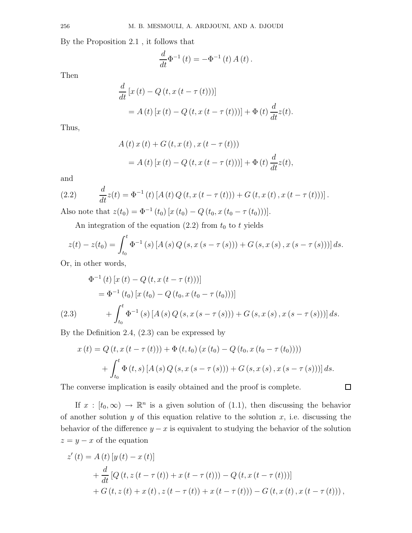By the Proposition 2.1 , it follows that

$$
\frac{d}{dt}\Phi^{-1}(t) = -\Phi^{-1}(t) A(t).
$$

Then

$$
\frac{d}{dt} [x(t) - Q(t, x(t - \tau(t)))]
$$
  
= A(t) [x(t) - Q(t, x(t - \tau(t)))] +  $\Phi$ (t)  $\frac{d}{dt}z(t)$ .

Thus,

$$
A(t) x(t) + G(t, x(t), x(t - \tau(t)))
$$
  
=  $A(t) [x(t) - Q(t, x(t - \tau(t)))] + \Phi(t) \frac{d}{dt} z(t),$ 

and

(2.2) 
$$
\frac{d}{dt}z(t) = \Phi^{-1}(t) \left[ A(t) Q(t, x(t-\tau(t))) + G(t, x(t), x(t-\tau(t))) \right].
$$

Also note that  $z(t_0) = \Phi^{-1}(t_0) [x(t_0) - Q(t_0, x(t_0 - \tau(t_0)))].$ 

An integration of the equation  $(2.2)$  from  $t_0$  to t yields

$$
z(t) - z(t_0) = \int_{t_0}^t \Phi^{-1}(s) \left[ A(s) Q(s, x(s - \tau(s))) + G(s, x(s), x(s - \tau(s))) \right] ds.
$$

Or, in other words,

$$
\Phi^{-1}(t) [x(t) - Q(t, x(t - \tau(t)))]
$$
\n
$$
= \Phi^{-1}(t_0) [x(t_0) - Q(t_0, x(t_0 - \tau(t_0)))]
$$
\n(2.3)\n
$$
+ \int_{t_0}^t \Phi^{-1}(s) [A(s) Q(s, x(s - \tau(s))) + G(s, x(s), x(s - \tau(s)))] ds.
$$

By the Definition 2.4, (2.3) can be expressed by

$$
x(t) = Q(t, x(t - \tau(t))) + \Phi(t, t_0) (x(t_0) - Q(t_0, x(t_0 - \tau(t_0))))
$$
  
+ 
$$
\int_{t_0}^t \Phi(t, s) [A(s) Q(s, x(s - \tau(s))) + G(s, x(s), x(s - \tau(s)))] ds.
$$

 $\Box$ 

The converse implication is easily obtained and the proof is complete.

If  $x : [t_0, \infty) \to \mathbb{R}^n$  is a given solution of (1.1), then discussing the behavior of another solution  $y$  of this equation relative to the solution  $x$ , i.e. discussing the behavior of the difference  $y - x$  is equivalent to studying the behavior of the solution  $z = y - x$  of the equation

$$
z'(t) = A(t) [y(t) - x(t)]
$$
  
+  $\frac{d}{dt} [Q(t, z(t - \tau(t)) + x(t - \tau(t))) - Q(t, x(t - \tau(t)))]$   
+  $G(t, z(t) + x(t), z(t - \tau(t)) + x(t - \tau(t))) - G(t, x(t), x(t - \tau(t)))$ ,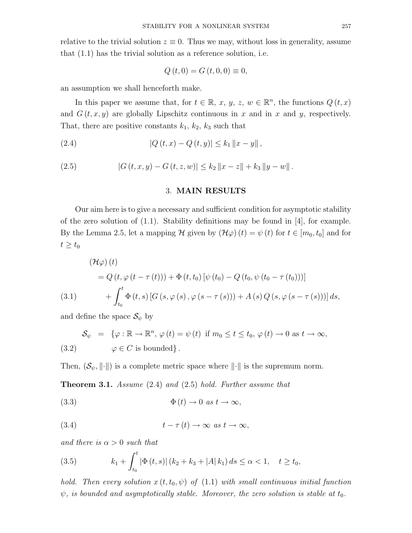relative to the trivial solution  $z \equiv 0$ . Thus we may, without loss in generality, assume that (1.1) has the trivial solution as a reference solution, i.e.

$$
Q(t, 0) = G(t, 0, 0) \equiv 0,
$$

an assumption we shall henceforth make.

In this paper we assume that, for  $t \in \mathbb{R}$ , x, y, z,  $w \in \mathbb{R}^n$ , the functions  $Q(t, x)$ and  $G(t, x, y)$  are globally Lipschitz continuous in x and in x and y, respectively. That, there are positive constants  $k_1$ ,  $k_2$ ,  $k_3$  such that

(2.4) 
$$
|Q(t,x) - Q(t,y)| \le k_1 \|x - y\|,
$$

(2.5) 
$$
|G(t, x, y) - G(t, z, w)| \le k_2 ||x - z|| + k_3 ||y - w||.
$$

# 3. MAIN RESULTS

Our aim here is to give a necessary and sufficient condition for asymptotic stability of the zero solution of (1.1). Stability definitions may be found in [4], for example. By the Lemma 2.5, let a mapping H given by  $(\mathcal{H}\varphi)(t) = \psi(t)$  for  $t \in [m_0, t_0]$  and for  $t \geq t_0$ 

(3.1)  
\n
$$
= Q(t, \varphi(t-\tau(t))) + \Phi(t, t_0) [\psi(t_0) - Q(t_0, \psi(t_0-\tau(t_0)))]
$$
\n
$$
+ \int_{t_0}^t \Phi(t, s) [G(s, \varphi(s), \varphi(s-\tau(s))) + A(s) Q(s, \varphi(s-\tau(s)))] ds,
$$

and define the space  $\mathcal{S}_{\psi}$  by

(3.2) 
$$
\mathcal{S}_{\psi} = \{ \varphi : \mathbb{R} \to \mathbb{R}^n, \varphi(t) = \psi(t) \text{ if } m_0 \le t \le t_0, \varphi(t) \to 0 \text{ as } t \to \infty, \}
$$

$$
\varphi \in C \text{ is bounded}\}.
$$

Then,  $(\mathcal{S}_{\psi}, \|\cdot\|)$  is a complete metric space where  $\|\cdot\|$  is the supremum norm.

**Theorem 3.1.** Assume  $(2.4)$  and  $(2.5)$  hold. Further assume that

(3.3) 
$$
\Phi(t) \to 0 \text{ as } t \to \infty,
$$

(3.4) 
$$
t - \tau(t) \to \infty \text{ as } t \to \infty,
$$

and there is  $\alpha > 0$  such that

(3.5) 
$$
k_1 + \int_{t_0}^t |\Phi(t,s)| (k_2 + k_3 + |A| k_1) ds \le \alpha < 1, \quad t \ge t_0,
$$

hold. Then every solution  $x(t, t_0, \psi)$  of (1.1) with small continuous initial function  $\psi$ , is bounded and asymptotically stable. Moreover, the zero solution is stable at  $t_0$ .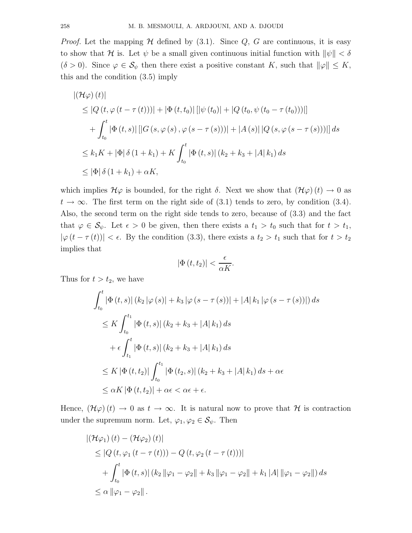*Proof.* Let the mapping  $H$  defined by  $(3.1)$ . Since  $Q$ ,  $G$  are continuous, it is easy to show that H is. Let  $\psi$  be a small given continuous initial function with  $\|\psi\| < \delta$  $(\delta > 0)$ . Since  $\varphi \in \mathcal{S}_{\psi}$  then there exist a positive constant K, such that  $\|\varphi\| \leq K$ , this and the condition (3.5) imply

$$
|(\mathcal{H}\varphi)(t)|
$$
  
\n
$$
\leq |Q(t, \varphi(t-\tau(t)))| + |\Phi(t, t_0)||[\psi(t_0)| + |Q(t_0, \psi(t_0-\tau(t_0)))|]
$$
  
\n
$$
+ \int_{t_0}^t |\Phi(t, s)||[G(s, \varphi(s), \varphi(s-\tau(s)))| + |A(s)||Q(s, \varphi(s-\tau(s)))|| ds
$$
  
\n
$$
\leq k_1 K + |\Phi|\delta(1 + k_1) + K \int_{t_0}^t |\Phi(t, s)| (k_2 + k_3 + |A| k_1) ds
$$
  
\n
$$
\leq |\Phi|\delta(1 + k_1) + \alpha K,
$$

which implies  $\mathcal{H}\varphi$  is bounded, for the right  $\delta$ . Next we show that  $(\mathcal{H}\varphi)(t) \to 0$  as  $t \to \infty$ . The first term on the right side of (3.1) tends to zero, by condition (3.4). Also, the second term on the right side tends to zero, because of (3.3) and the fact that  $\varphi \in \mathcal{S}_{\psi}$ . Let  $\epsilon > 0$  be given, then there exists a  $t_1 > t_0$  such that for  $t > t_1$ ,  $|\varphi(t-\tau(t))| < \epsilon$ . By the condition (3.3), there exists a  $t_2 > t_1$  such that for  $t > t_2$ implies that

$$
\left\vert \Phi \left( t,t_{2}\right) \right\vert <\frac{\epsilon }{\alpha K}.
$$

Thus for  $t > t_2$ , we have

$$
\int_{t_0}^t |\Phi(t,s)| (k_2 |\varphi(s)| + k_3 |\varphi(s - \tau(s))| + |A| k_1 |\varphi(s - \tau(s))|) ds
$$
  
\n
$$
\leq K \int_{t_0}^{t_1} |\Phi(t,s)| (k_2 + k_3 + |A| k_1) ds
$$
  
\n
$$
+ \epsilon \int_{t_1}^t |\Phi(t,s)| (k_2 + k_3 + |A| k_1) ds
$$
  
\n
$$
\leq K |\Phi(t,t_2)| \int_{t_0}^{t_1} |\Phi(t_2,s)| (k_2 + k_3 + |A| k_1) ds + \alpha \epsilon
$$
  
\n
$$
\leq \alpha K |\Phi(t,t_2)| + \alpha \epsilon < \alpha \epsilon + \epsilon.
$$

Hence,  $(\mathcal{H}\varphi)(t) \to 0$  as  $t \to \infty$ . It is natural now to prove that  $\mathcal{H}$  is contraction under the supremum norm. Let,  $\varphi_1, \varphi_2 \in \mathcal{S}_{\psi}$ . Then

$$
|(\mathcal{H}\varphi_{1})(t) - (\mathcal{H}\varphi_{2})(t)|
$$
  
\n
$$
\leq |Q(t, \varphi_{1}(t - \tau(t))) - Q(t, \varphi_{2}(t - \tau(t)))|
$$
  
\n
$$
+ \int_{t_{0}}^{t} |\Phi(t, s)| (k_{2} ||\varphi_{1} - \varphi_{2}|| + k_{3} ||\varphi_{1} - \varphi_{2}|| + k_{1} |A| ||\varphi_{1} - \varphi_{2}||) ds
$$
  
\n
$$
\leq \alpha ||\varphi_{1} - \varphi_{2}||.
$$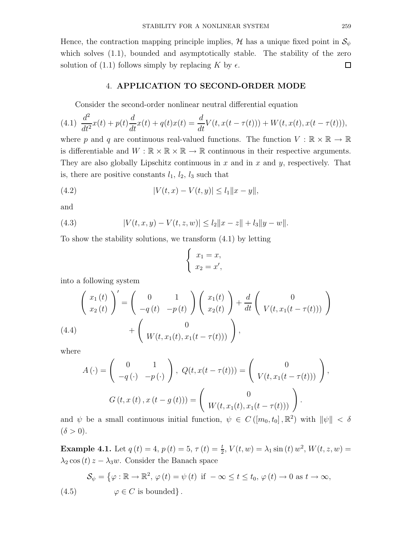Hence, the contraction mapping principle implies,  $\mathcal{H}$  has a unique fixed point in  $\mathcal{S}_{\psi}$ which solves (1.1), bounded and asymptotically stable. The stability of the zero solution of (1.1) follows simply by replacing K by  $\epsilon$ .  $\Box$ 

### 4. APPLICATION TO SECOND-ORDER MODE

Consider the second-order nonlinear neutral differential equation

$$
(4.1) \frac{d^2}{dt^2}x(t) + p(t)\frac{d}{dt}x(t) + q(t)x(t) = \frac{d}{dt}V(t, x(t - \tau(t))) + W(t, x(t), x(t - \tau(t))),
$$

where p and q are continuous real-valued functions. The function  $V : \mathbb{R} \times \mathbb{R} \to \mathbb{R}$ is differentiable and  $W : \mathbb{R} \times \mathbb{R} \times \mathbb{R} \to \mathbb{R}$  continuous in their respective arguments. They are also globally Lipschitz continuous in  $x$  and in  $x$  and  $y$ , respectively. That is, there are positive constants  $l_1$ ,  $l_2$ ,  $l_3$  such that

(4.2) 
$$
|V(t,x) - V(t,y)| \le l_1 \|x - y\|,
$$

and

(4.3) 
$$
|V(t, x, y) - V(t, z, w)| \leq l_2 ||x - z|| + l_3 ||y - w||.
$$

To show the stability solutions, we transform (4.1) by letting

$$
\begin{cases}\nx_1 = x, \\
x_2 = x',\n\end{cases}
$$

into a following system

$$
\begin{pmatrix}\nx_1(t) \\
x_2(t)\n\end{pmatrix}' = \begin{pmatrix}\n0 & 1 \\
-q(t) & -p(t)\n\end{pmatrix}\n\begin{pmatrix}\nx_1(t) \\
x_2(t)\n\end{pmatrix} + \frac{d}{dt}\n\begin{pmatrix}\n0 \\
V(t, x_1(t - \tau(t)))\n\end{pmatrix} + \begin{pmatrix}\n0 \\
W(t, x_1(t), x_1(t - \tau(t)))\n\end{pmatrix},
$$

where

$$
A(\cdot) = \begin{pmatrix} 0 & 1 \\ -q(\cdot) & -p(\cdot) \end{pmatrix}, Q(t, x(t - \tau(t))) = \begin{pmatrix} 0 \\ V(t, x_1(t - \tau(t))) \end{pmatrix},
$$

$$
G(t, x(t), x(t - g(t))) = \begin{pmatrix} 0 \\ W(t, x_1(t), x_1(t - \tau(t))) \end{pmatrix}.
$$

and  $\psi$  be a small continuous initial function,  $\psi \in C([m_0, t_0], \mathbb{R}^2)$  with  $\|\psi\| < \delta$  $(\delta > 0).$ 

**Example 4.1.** Let  $q(t) = 4$ ,  $p(t) = 5$ ,  $\tau(t) = \frac{t}{2}$ ,  $V(t, w) = \lambda_1 \sin(t) w^2$ ,  $W(t, z, w) =$  $\lambda_2 \cos(t) z - \lambda_3 w$ . Consider the Banach space

(4.5) 
$$
\mathcal{S}_{\psi} = \{ \varphi : \mathbb{R} \to \mathbb{R}^2, \varphi(t) = \psi(t) \text{ if } -\infty \le t \le t_0, \varphi(t) \to 0 \text{ as } t \to \infty, \}
$$

$$
\varphi \in C \text{ is bounded}\}.
$$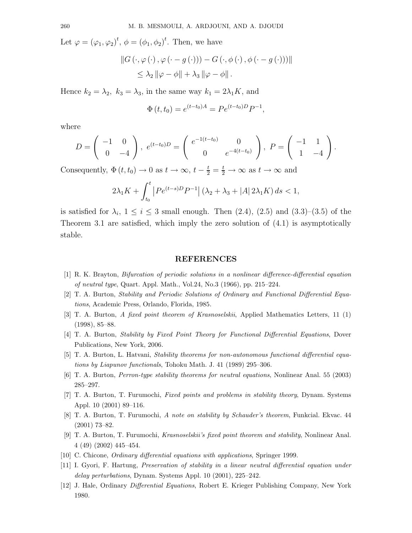Let  $\varphi = (\varphi_1, \varphi_2)^t$ ,  $\phi = (\phi_1, \phi_2)^t$ . Then, we have

$$
||G(\cdot, \varphi(\cdot), \varphi(\cdot - g(\cdot))) - G(\cdot, \phi(\cdot), \phi(\cdot - g(\cdot)))||
$$
  
\$\leq \lambda\_2 ||\varphi - \phi|| + \lambda\_3 ||\varphi - \phi||\$.

Hence  $k_2 = \lambda_2$ ,  $k_3 = \lambda_3$ , in the same way  $k_1 = 2\lambda_1 K$ , and

$$
\Phi(t, t_0) = e^{(t - t_0)A} = Pe^{(t - t_0)D}P^{-1},
$$

where

$$
D = \begin{pmatrix} -1 & 0 \\ 0 & -4 \end{pmatrix}, e^{(t-t_0)D} = \begin{pmatrix} e^{-1(t-t_0)} & 0 \\ 0 & e^{-4(t-t_0)} \end{pmatrix}, P = \begin{pmatrix} -1 & 1 \\ 1 & -4 \end{pmatrix}.
$$

Consequently,  $\Phi(t, t_0) \to 0$  as  $t \to \infty$ ,  $t - \frac{t}{2} = \frac{t}{2} \to \infty$  as  $t \to \infty$  and

$$
2\lambda_1 K + \int_{t_0}^t \left| P e^{(t-s)D} P^{-1} \right| (\lambda_2 + \lambda_3 + |A| \, 2\lambda_1 K) \, ds < 1,
$$

is satisfied for  $\lambda_i$ ,  $1 \leq i \leq 3$  small enough. Then  $(2.4)$ ,  $(2.5)$  and  $(3.3)$ – $(3.5)$  of the Theorem 3.1 are satisfied, which imply the zero solution of (4.1) is asymptotically stable.

# REFERENCES

- [1] R. K. Brayton, Bifurcation of periodic solutions in a nonlinear difference-differential equation of neutral type, Quart. Appl. Math., Vol.24, No.3 (1966), pp. 215–224.
- [2] T. A. Burton, Stability and Periodic Solutions of Ordinary and Functional Differential Equations, Academic Press, Orlando, Florida, 1985.
- [3] T. A. Burton, A fixed point theorem of Krasnoselskii, Applied Mathematics Letters, 11 (1) (1998), 85–88.
- [4] T. A. Burton, Stability by Fixed Point Theory for Functional Differential Equations, Dover Publications, New York, 2006.
- [5] T. A. Burton, L. Hatvani, Stability theorems for non-autonomous functional differential equations by Liapunov functionals, Tohoku Math. J. 41 (1989) 295–306.
- [6] T. A. Burton, Perron-type stability theorems for neutral equations, Nonlinear Anal. 55 (2003) 285–297.
- [7] T. A. Burton, T. Furumochi, Fixed points and problems in stability theory, Dynam. Systems Appl. 10 (2001) 89–116.
- [8] T. A. Burton, T. Furumochi, A note on stability by Schauder's theorem, Funkcial. Ekvac. 44 (2001) 73–82.
- [9] T. A. Burton, T. Furumochi, Krasnoselskii's fixed point theorem and stability, Nonlinear Anal. 4 (49) (2002) 445–454.
- [10] C. Chicone, Ordinary differential equations with applications, Springer 1999.
- [11] I. Gyori, F. Hartung, Preservation of stability in a linear neutral differential equation under delay perturbations, Dynam. Systems Appl. 10 (2001), 225–242.
- [12] J. Hale, Ordinary Differential Equations, Robert E. Krieger Publishing Company, New York 1980.